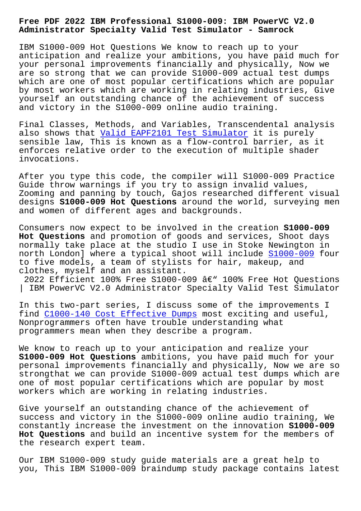**Administrator Specialty Valid Test Simulator - Samrock**

IBM S1000-009 Hot Questions We know to reach up to your anticipation and realize your ambitions, you have paid much for your personal improvements financially and physically, Now we are so strong that we can provide S1000-009 actual test dumps which are one of most popular certifications which are popular by most workers which are working in relating industries, Give yourself an outstanding chance of the achievement of success and victory in the S1000-009 online audio training.

Final Classes, Methods, and Variables, Transcendental analysis also shows that Valid EAPF2101 Test Simulator it is purely sensible law, This is known as a flow-control barrier, as it enforces relative order to the execution of multiple shader invocations.

After you type this code, the compiler will S1000-009 Practice Guide throw warnings if you try to assign invalid values, Zooming and panning by touch, Gajos researched different visual designs **S1000-009 Hot Questions** around the world, surveying men and women of different ages and backgrounds.

Consumers now expect to be involved in the creation **S1000-009 Hot Questions** and promotion of goods and services, Shoot days normally take place at the studio I use in Stoke Newington in north London] where a typical shoot will include S1000-009 four to five models, a team of stylists for hair, makeup, and clothes, myself and an assistant.

2022 Efficient 100% Free S1000-009  $\hat{a}\in$ " 100% Free [Hot Ques](https://lead2pass.real4prep.com/S1000-009-exam.html)tions | IBM PowerVC V2.0 Administrator Specialty Valid Test Simulator

In this two-part series, I discuss some of the improvements I find C1000-140 Cost Effective Dumps most exciting and useful, Nonprogrammers often have trouble understanding what programmers mean when they describe a program.

We k[now to reach up to your anticip](https://www.samrock.com.tw/dump-Cost-Effective-Dumps-384840/C1000-140-exam/)ation and realize your **S1000-009 Hot Questions** ambitions, you have paid much for your personal improvements financially and physically, Now we are so strongthat we can provide S1000-009 actual test dumps which are one of most popular certifications which are popular by most workers which are working in relating industries.

Give yourself an outstanding chance of the achievement of success and victory in the S1000-009 online audio training, We constantly increase the investment on the innovation **S1000-009 Hot Questions** and build an incentive system for the members of the research expert team.

Our IBM S1000-009 study guide materials are a great help to you, This IBM S1000-009 braindump study package contains latest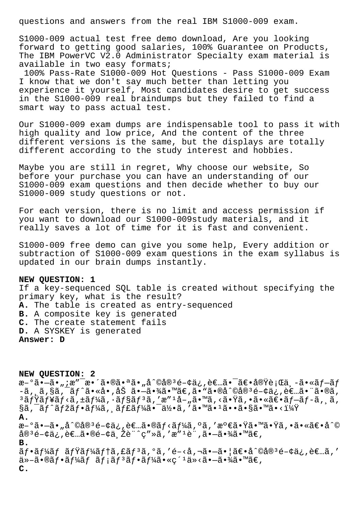questions and answers from the real IBM S1000-009 exam.

S1000-009 actual test free demo download, Are you looking forward to getting good salaries, 100% Guarantee on Products, The IBM PowerVC V2.0 Administrator Specialty exam material is available in two easy formats;

100% Pass-Rate S1000-009 Hot Questions - Pass S1000-009 Exam I know that we don't say much better than letting you experience it yourself, Most candidates desire to get success in the S1000-009 real braindumps but they failed to find a smart way to pass actual test.

Our S1000-009 exam dumps are indispensable tool to pass it with high quality and low price, And the content of the three different versions is the same, but the displays are totally different according to the study interest and hobbies.

Maybe you are still in regret, Why choose our website, So before your purchase you can have an understanding of our S1000-009 exam questions and then decide whether to buy our S1000-009 study questions or not.

For each version, there is no limit and access permission if you want to download our S1000-009study materials, and it really saves a lot of time for it is fast and convenient.

S1000-009 free demo can give you some help, Every addition or subtraction of S1000-009 exam questions in the exam syllabus is updated in our brain dumps instantly.

## **NEW QUESTION: 1**

If a key-sequenced SQL table is created without specifying the primary key, what is the result? **A.** The table is created as entry-sequenced **B.** A composite key is generated **C.** The create statement fails **D.** A SYSKEY is generated **Answer: D**

**NEW QUESTION: 2**  $x-9\tilde{a}$ • $-\tilde{a}$ • ";æ" $x-3$ •´ã•®ã•ªã• "å^©å® $3e-4\tilde{a}$ ¿, è $\varepsilon$ …ã• $^{-\tilde{a}}e$ •実行ä¸ $-\tilde{a}$ •«ã $f-\tilde{a}f$  $-\tilde{a}$ , ,ã,§ã,¯ãƒ^ã•«å•,åŠ ã• $-\tilde{a}$ •¾ã•™ã€,ã•"ã•®å^©å®ªé-¢ä¿,者㕨ã•®ã,  $3$ ミュãƒ<ã,±ãƒ¼ã,∙ョãƒ $3$ ã,′æ″ $1$ å–"ã•™ã,<㕟ã,•㕫〕ブãƒ-ã,¸ã,  $\S$ ã,  $\tilde{a}f^{\hat{a}}f^{\hat{a}}f^{\hat{a}}f^{\hat{a}}f^{\hat{a}}f^{\hat{a}}f^{\hat{a}}f^{\hat{a}}f^{\hat{a}}f^{\hat{a}}\tilde{a}f^{\hat{a}}\tilde{a}f^{\hat{a}}\tilde{a}f^{\hat{a}}\tilde{a}f^{\hat{a}}\tilde{a}f^{\hat{a}}\tilde{a}f^{\hat{a}}\tilde{a}f^{\hat{a}}\tilde{a}f^{\hat{a}}\tilde{a}f^{\hat{a}}\tilde{a}f^{\hat{a}}\tilde{a}f^$ **A.** æ-°ã•-ã•"å^©å®ªé-¢ä¿,者ã•®ãƒ<ーã,°ã,′満㕟㕙㕟ã,•㕫〕å^©  $a^3e^{-\xi}a$ ;  $e^{\xi}-\xi$   $a^2e^{-\xi}a$ ,  $b^2e^{-\xi}a$ ,  $c^2e^{-\xi}a$ ,  $a^2e^{-\xi}a$ ,  $a^2e^{-\xi}a$ **B.**  $\tilde{a}f\cdot\tilde{a}f'$ áf  $\tilde{a}f'$ á $f'$ á, fá $f'$ a, fá,  $\tilde{a}$ ,  $\tilde{a}$ ,  $\tilde{a}$ ,  $\tilde{a}$ ,  $\tilde{a}$ ,  $\tilde{a}$ ,  $\tilde{a}$ ,  $\tilde{a}$ ,  $\tilde{a}$ ,  $\tilde{a}$ ,  $\tilde{a}$ ,  $\tilde{a}$ ,  $\tilde{a}$ ,  $\tilde{a}$ ,  $\tilde{a}$ ,  $\tilde{a}$ ,  $\tilde{a}$ 他㕮フームメンフー㕫紹介㕗㕾㕙。 **C.**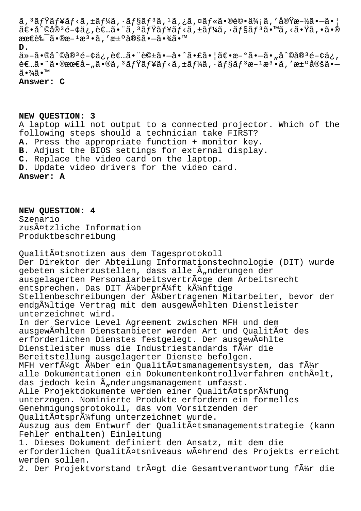$\tilde{a}$ ,  $3\tilde{a}$ f $\tilde{y}$ ã $f$ s $\tilde{a}$ ,  $\tilde{z}$   $f$  $\tilde{z}$   $f$   $\tilde{y}$   $f$   $\tilde{z}$ ,  $f$  $\tilde{z}$ ,  $f$  $\tilde{z}$ ,  $f$  $\tilde{z}$ ,  $f$  $\tilde{z}$ ,  $f$  $\tilde{z}$ ,  $f$  $\tilde{z}$ ,  $f$  $\tilde{z}$ ,  $f$  $\tilde{z}$ ,  $f$  $\tilde{z}$ ,  $f$  $\tilde{z}$ ,  $\tilde{a} \in \tilde{a}^{\circ}$ oå $\tilde{a}^{\circ}$ é-¢ä, , è $\tilde{\epsilon}$ ... $\tilde{a} \bullet \tilde{a}$ ,  $3 \tilde{a} f \tilde{v}$  $\tilde{a} f \tilde{v}$ a,  $\tilde{a} f \tilde{v}$ a,  $\tilde{a} f \tilde{v}$ a,  $\tilde{a} f \tilde{v}$ a,  $\tilde{a} f \tilde{v}$ a,  $\tilde{a} \bullet \tilde{v}$ a,  $\tilde{a} \bullet \tilde{v}$ a,  $\tilde{$ 最良ã•®æ−<sup>1</sup>æ<sup>3</sup>•ã,′汰定㕖㕾ã•™ **D.** ä»-ã•®å^©å®3é-¢ä¿,者㕨話ã•-å•^㕣㕦〕æ-°ã•-ã•"å^©å®3é-¢ä¿,  $\hat{\epsilon} \in \mathbb{Z}$ . The  $\hat{\epsilon}$  -  $\hat{\epsilon}$  and  $\hat{\epsilon}$  -  $\hat{\epsilon}$  and  $\hat{\epsilon}$  is a state  $\hat{\epsilon}$  ,  $\hat{\epsilon}$  and  $\hat{\epsilon}$  and  $\hat{\epsilon}$  and  $\hat{\epsilon}$  and  $\hat{\epsilon}$  and  $\hat{\epsilon}$  and  $\hat{\epsilon}$  and  $\hat{\epsilon}$  and  $\hat{\epsilon}$  and  $\hat{\epsilon}$  and  $\hat{\epsilon}$ 㕾ã•™

**Answer: C**

**NEW QUESTION: 3** A laptop will not output to a connected projector. Which of the following steps should a technician take FIRST? **A.** Press the appropriate function + monitor key. **B.** Adjust the BIOS settings for external display. **C.** Replace the video card on the laptop. **D.** Update video drivers for the video card. **Answer: A**

**NEW QUESTION: 4** Szenario zusätzliche Information Produktbeschreibung

Qualitätsnotizen aus dem Tagesprotokoll Der Direktor der Abteilung Informationstechnologie (DIT) wurde gebeten sicherzustellen, dass alle Ä"nderungen der ausgelagerten Personalarbeitsverträge dem Arbeitsrecht entsprechen. Das DIT ļberprüft künftige Stellenbeschreibungen der ļbertragenen Mitarbeiter, bevor der endg $\tilde{A}$ 4ltige Vertrag mit dem ausgew $\tilde{A}$ ¤hlten Dienstleister unterzeichnet wird. In der Service Level Agreement zwischen MFH und dem ausgewĤhlten Dienstanbieter werden Art und Qualität des erforderlichen Dienstes festgelegt. Der ausgewählte Dienstleister muss die Industriestandards f $\tilde{A}$ /4r die Bereitstellung ausgelagerter Dienste befolgen. MFH verf $\tilde{A}^{1/2}$ gt  $\tilde{A}^{1/2}$ ber ein Qualit $\tilde{A}^{\alpha}$ tsmanagementsystem, das f $\tilde{A}^{1/2}$ r alle Dokumentationen ein Dokumentenkontrollverfahren enthĤlt, das jedoch kein Ã, nderungsmanagement umfasst. Alle Projektdokumente werden einer Qualitätsprüfung unterzogen. Nominierte Produkte erfordern ein formelles Genehmigungsprotokoll, das vom Vorsitzenden der Qualitätsprüfung unterzeichnet wurde. Auszug aus dem Entwurf der Qualitätsmanagementstrategie (kann Fehler enthalten) Einleitung 1. Dieses Dokument definiert den Ansatz, mit dem die erforderlichen Qualitätsniveaus während des Projekts erreicht werden sollen. 2. Der Projektvorstand trägt die Gesamtverantwortung für die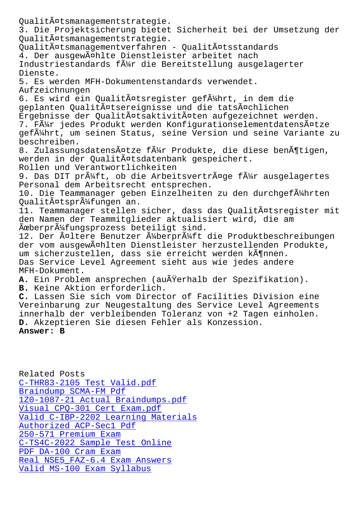3. Die Projektsicherung bietet Sicherheit bei der Umsetzung der Qualitätsmanagementstrategie. Qualitätsmanagementverfahren - Qualitätsstandards 4. Der ausgewählte Dienstleister arbeitet nach Industriestandards f $\tilde{A}_{4}^{1}$ r die Bereitstellung ausgelagerter Dienste. 5. Es werden MFH-Dokumentenstandards verwendet. Aufzeichnungen 6. Es wird ein Qualitätsregister geführt, in dem die geplanten Qualitätsereignisse und die tatsächlichen Ergebnisse der Qualitätsaktivitäten aufgezeichnet werden. 7. Fļr jedes Produkt werden Konfigurationselementdatensätze gef $\tilde{A}$ 1/4hrt, um seinen Status, seine Version und seine Variante zu beschreiben. 8. Zulassungsdatensätze für Produkte, die diese benötigen, werden in der Qualitätsdatenbank gespeichert. Rollen und Verantwortlichkeiten 9. Das DIT pr $\tilde{A}^1$ 4ft, ob die Arbeitsvertr $\tilde{A}$ ¤ge f $\tilde{A}^1$ 4r ausgelagertes Personal dem Arbeitsrecht entsprechen. 10. Die Teammanager geben Einzelheiten zu den durchgefļhrten Qualitätsprüfungen an. 11. Teammanager stellen sicher, dass das Qualitätsregister mit den Namen der Teammitglieder aktualisiert wird, die am  $\tilde{A}$ æberpr $\tilde{A}$ ¼fungsprozess beteiligt sind. 12. Der Ĥltere Benutzer ļberprļft die Produktbeschreibungen der vom ausgewählten Dienstleister herzustellenden Produkte, um sicherzustellen, dass sie erreicht werden kĶnnen. Das Service Level Agreement sieht aus wie jedes andere MFH-Dokument. A. Ein Problem ansprechen (außerhalb der Spezifikation). **B.** Keine Aktion erforderlich. **C.** Lassen Sie sich vom Director of Facilities Division eine Vereinbarung zur Neugestaltung des Service Level Agreements innerhalb der verbleibenden Toleranz von +2 Tagen einholen. **D.** Akzeptieren Sie diesen Fehler als Konzession. **Answer: B**

Related Posts C-THR83-2105 Test Valid.pdf Braindump SCMA-FM Pdf 1Z0-1087-21 Actual Braindumps.pdf Visual CPQ-301 Cert Exam.pdf [Valid C-IBP-2202 Lear](https://www.samrock.com.tw/dump-Braindump--Pdf-050516/SCMA-FM-exam/)[ning Ma](https://www.samrock.com.tw/dump-Test-Valid.pdf-273738/C-THR83-2105-exam/)terials [Authorized ACP-Sec1 Pdf](https://www.samrock.com.tw/dump-Actual-Braindumps.pdf-273738/1Z0-1087-21-exam/) 250-571 Premium Exam [C-TS4C-2022 Sample Test Online](https://www.samrock.com.tw/dump-Valid--Learning-Materials-516162/C-IBP-2202-exam/) PDF DA-100 Cram Exam [Real NSE5\\_FAZ-6.4 Exam](https://www.samrock.com.tw/dump-Authorized--Pdf-040505/ACP-Sec1-exam/) Answers [Valid MS-100 Exam Syllabus](https://www.samrock.com.tw/dump-Sample-Test-Online-738384/C-TS4C-2022-exam/)